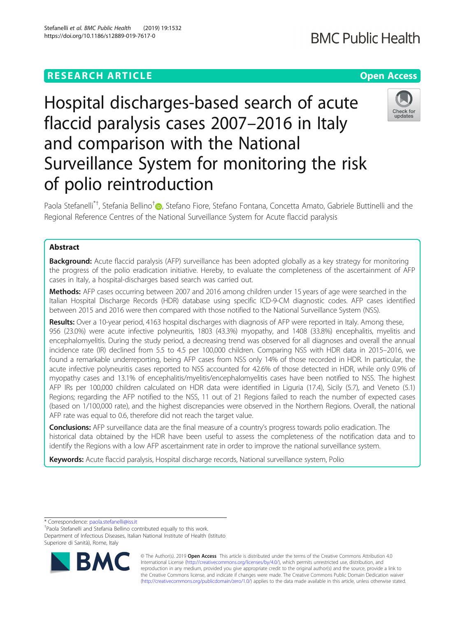# **RESEARCH ARTICLE Example 2014 12:30 The Contract of Contract ACCESS**

# Hospital discharges-based search of acute flaccid paralysis cases 2007–2016 in Italy and comparison with the National Surveillance System for monitoring the risk of polio reintroduction

Paola Stefanelli<sup>\*†</sup>[,](http://orcid.org/0000-0003-1149-3835) Stefania Bellino<sup>†</sup>®, Stefano Fiore, Stefano Fontana, Concetta Amato, Gabriele Buttinelli and the Regional Reference Centres of the National Surveillance System for Acute flaccid paralysis

# Abstract

**Background:** Acute flaccid paralysis (AFP) surveillance has been adopted globally as a key strategy for monitoring the progress of the polio eradication initiative. Hereby, to evaluate the completeness of the ascertainment of AFP cases in Italy, a hospital-discharges based search was carried out.

Methods: AFP cases occurring between 2007 and 2016 among children under 15 years of age were searched in the Italian Hospital Discharge Records (HDR) database using specific ICD-9-CM diagnostic codes. AFP cases identified between 2015 and 2016 were then compared with those notified to the National Surveillance System (NSS).

Results: Over a 10-year period, 4163 hospital discharges with diagnosis of AFP were reported in Italy. Among these, 956 (23.0%) were acute infective polyneuritis, 1803 (43.3%) myopathy, and 1408 (33.8%) encephalitis, myelitis and encephalomyelitis. During the study period, a decreasing trend was observed for all diagnoses and overall the annual incidence rate (IR) declined from 5.5 to 4.5 per 100,000 children. Comparing NSS with HDR data in 2015–2016, we found a remarkable underreporting, being AFP cases from NSS only 14% of those recorded in HDR. In particular, the acute infective polyneuritis cases reported to NSS accounted for 42.6% of those detected in HDR, while only 0.9% of myopathy cases and 13.1% of encephalitis/myelitis/encephalomyelitis cases have been notified to NSS. The highest AFP IRs per 100,000 children calculated on HDR data were identified in Liguria (17.4), Sicily (5.7), and Veneto (5.1) Regions; regarding the AFP notified to the NSS, 11 out of 21 Regions failed to reach the number of expected cases (based on 1/100,000 rate), and the highest discrepancies were observed in the Northern Regions. Overall, the national AFP rate was equal to 0.6, therefore did not reach the target value.

Conclusions: AFP surveillance data are the final measure of a country's progress towards polio eradication. The historical data obtained by the HDR have been useful to assess the completeness of the notification data and to identify the Regions with a low AFP ascertainment rate in order to improve the national surveillance system.

Keywords: Acute flaccid paralysis, Hospital discharge records, National surveillance system, Polio

\* Correspondence: [paola.stefanelli@iss.it](mailto:paola.stefanelli@iss.it) †

Paola Stefanelli and Stefania Bellino contributed equally to this work. Department of Infectious Diseases, Italian National Institute of Health (Istituto Superiore di Sanità), Rome, Italy







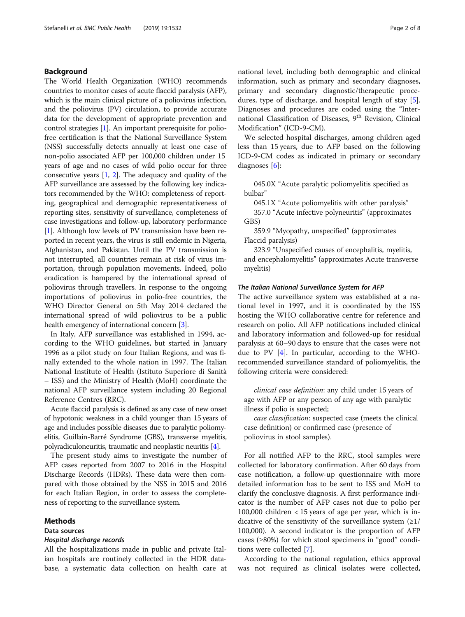# Background

The World Health Organization (WHO) recommends countries to monitor cases of acute flaccid paralysis (AFP), which is the main clinical picture of a poliovirus infection, and the poliovirus (PV) circulation, to provide accurate data for the development of appropriate prevention and control strategies [[1](#page-7-0)]. An important prerequisite for poliofree certification is that the National Surveillance System (NSS) successfully detects annually at least one case of non-polio associated AFP per 100,000 children under 15 years of age and no cases of wild polio occur for three consecutive years [[1](#page-7-0), [2\]](#page-7-0). The adequacy and quality of the AFP surveillance are assessed by the following key indicators recommended by the WHO: completeness of reporting, geographical and demographic representativeness of reporting sites, sensitivity of surveillance, completeness of case investigations and follow-up, laboratory performance [[1\]](#page-7-0). Although low levels of PV transmission have been reported in recent years, the virus is still endemic in Nigeria, Afghanistan, and Pakistan. Until the PV transmission is not interrupted, all countries remain at risk of virus importation, through population movements. Indeed, polio eradication is hampered by the international spread of poliovirus through travellers. In response to the ongoing importations of poliovirus in polio-free countries, the WHO Director General on 5th May 2014 declared the international spread of wild poliovirus to be a public health emergency of international concern [[3\]](#page-7-0).

In Italy, AFP surveillance was established in 1994, according to the WHO guidelines, but started in January 1996 as a pilot study on four Italian Regions, and was finally extended to the whole nation in 1997. The Italian National Institute of Health (Istituto Superiore di Sanità – ISS) and the Ministry of Health (MoH) coordinate the national AFP surveillance system including 20 Regional Reference Centres (RRC).

Acute flaccid paralysis is defined as any case of new onset of hypotonic weakness in a child younger than 15 years of age and includes possible diseases due to paralytic poliomyelitis, Guillain-Barré Syndrome (GBS), transverse myelitis, polyradiculoneuritis, traumatic and neoplastic neuritis [\[4\]](#page-7-0).

The present study aims to investigate the number of AFP cases reported from 2007 to 2016 in the Hospital Discharge Records (HDRs). These data were then compared with those obtained by the NSS in 2015 and 2016 for each Italian Region, in order to assess the completeness of reporting to the surveillance system.

#### Methods

# Data sources

#### Hospital discharge records

All the hospitalizations made in public and private Italian hospitals are routinely collected in the HDR database, a systematic data collection on health care at national level, including both demographic and clinical information, such as primary and secondary diagnoses, primary and secondary diagnostic/therapeutic procedures, type of discharge, and hospital length of stay [\[5](#page-7-0)]. Diagnoses and procedures are coded using the "International Classification of Diseases, 9<sup>th</sup> Revision, Clinical Modification" (ICD-9-CM).

We selected hospital discharges, among children aged less than 15 years, due to AFP based on the following ICD-9-CM codes as indicated in primary or secondary diagnoses [\[6](#page-7-0)]:

045.0X "Acute paralytic poliomyelitis specified as bulbar"

045.1X "Acute poliomyelitis with other paralysis"

357.0 "Acute infective polyneuritis" (approximates GBS)

359.9 "Myopathy, unspecified" (approximates Flaccid paralysis)

323.9 "Unspecified causes of encephalitis, myelitis, and encephalomyelitis" (approximates Acute transverse myelitis)

#### The Italian National Surveillance System for AFP

The active surveillance system was established at a national level in 1997, and it is coordinated by the ISS hosting the WHO collaborative centre for reference and research on polio. All AFP notifications included clinical and laboratory information and followed-up for residual paralysis at 60–90 days to ensure that the cases were not due to PV [\[4](#page-7-0)]. In particular, according to the WHOrecommended surveillance standard of poliomyelitis, the following criteria were considered:

clinical case definition: any child under 15 years of age with AFP or any person of any age with paralytic illness if polio is suspected;

case classification: suspected case (meets the clinical case definition) or confirmed case (presence of poliovirus in stool samples).

For all notified AFP to the RRC, stool samples were collected for laboratory confirmation. After 60 days from case notification, a follow-up questionnaire with more detailed information has to be sent to ISS and MoH to clarify the conclusive diagnosis. A first performance indicator is the number of AFP cases not due to polio per 100,000 children < 15 years of age per year, which is indicative of the sensitivity of the surveillance system  $(\geq 1)$ 100,000). A second indicator is the proportion of AFP cases (≥80%) for which stool specimens in "good" conditions were collected [\[7](#page-7-0)].

According to the national regulation, ethics approval was not required as clinical isolates were collected,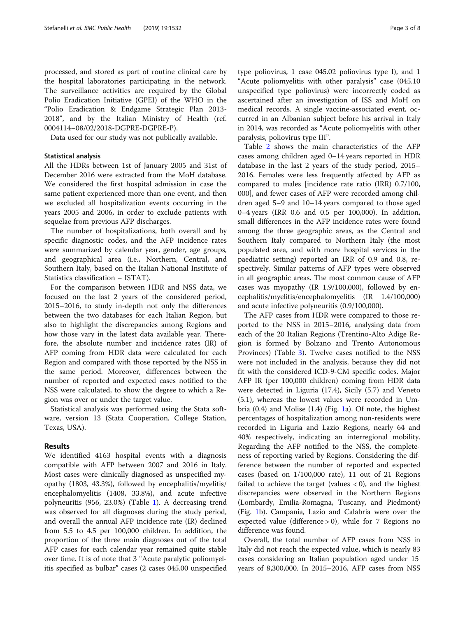processed, and stored as part of routine clinical care by the hospital laboratories participating in the network. The surveillance activities are required by the Global Polio Eradication Initiative (GPEI) of the WHO in the "Polio Eradication & Endgame Strategic Plan 2013- 2018", and by the Italian Ministry of Health (ref. 0004114–08/02/2018-DGPRE-DGPRE-P).

Data used for our study was not publically available.

# Statistical analysis

All the HDRs between 1st of January 2005 and 31st of December 2016 were extracted from the MoH database. We considered the first hospital admission in case the same patient experienced more than one event, and then we excluded all hospitalization events occurring in the years 2005 and 2006, in order to exclude patients with sequelae from previous AFP discharges.

The number of hospitalizations, both overall and by specific diagnostic codes, and the AFP incidence rates were summarized by calendar year, gender, age groups, and geographical area (i.e., Northern, Central, and Southern Italy, based on the Italian National Institute of Statistics classification – ISTAT).

For the comparison between HDR and NSS data, we focused on the last 2 years of the considered period, 2015–2016, to study in-depth not only the differences between the two databases for each Italian Region, but also to highlight the discrepancies among Regions and how those vary in the latest data available year. Therefore, the absolute number and incidence rates (IR) of AFP coming from HDR data were calculated for each Region and compared with those reported by the NSS in the same period. Moreover, differences between the number of reported and expected cases notified to the NSS were calculated, to show the degree to which a Region was over or under the target value.

Statistical analysis was performed using the Stata software, version 13 (Stata Cooperation, College Station, Texas, USA).

# Results

We identified 4163 hospital events with a diagnosis compatible with AFP between 2007 and 2016 in Italy. Most cases were clinically diagnosed as unspecified myopathy (1803, 43.3%), followed by encephalitis/myelitis/ encephalomyelitis (1408, 33.8%), and acute infective polyneuritis (956, 23.0%) (Table [1](#page-3-0)). A decreasing trend was observed for all diagnoses during the study period, and overall the annual AFP incidence rate (IR) declined from 5.5 to 4.5 per 100,000 children. In addition, the proportion of the three main diagnoses out of the total AFP cases for each calendar year remained quite stable over time. It is of note that 3 "Acute paralytic poliomyelitis specified as bulbar" cases (2 cases 045.00 unspecified type poliovirus, 1 case 045.02 poliovirus type I), and 1 "Acute poliomyelitis with other paralysis" case (045.10 unspecified type poliovirus) were incorrectly coded as ascertained after an investigation of ISS and MoH on medical records. A single vaccine-associated event, occurred in an Albanian subject before his arrival in Italy in 2014, was recorded as "Acute poliomyelitis with other paralysis, poliovirus type III".

Table [2](#page-3-0) shows the main characteristics of the AFP cases among children aged 0–14 years reported in HDR database in the last 2 years of the study period, 2015– 2016. Females were less frequently affected by AFP as compared to males [incidence rate ratio (IRR) 0.7/100, 000], and fewer cases of AFP were recorded among children aged 5–9 and 10–14 years compared to those aged 0–4 years (IRR 0.6 and 0.5 per 100,000). In addition, small differences in the AFP incidence rates were found among the three geographic areas, as the Central and Southern Italy compared to Northern Italy (the most populated area, and with more hospital services in the paediatric setting) reported an IRR of 0.9 and 0.8, respectively. Similar patterns of AFP types were observed in all geographic areas. The most common cause of AFP cases was myopathy (IR 1.9/100,000), followed by encephalitis/myelitis/encephalomyelitis (IR 1.4/100,000) and acute infective polyneuritis (0.9/100,000).

The AFP cases from HDR were compared to those reported to the NSS in 2015–2016, analysing data from each of the 20 Italian Regions (Trentino-Alto Adige Region is formed by Bolzano and Trento Autonomous Provinces) (Table [3](#page-4-0)). Twelve cases notified to the NSS were not included in the analysis, because they did not fit with the considered ICD-9-CM specific codes. Major AFP IR (per 100,000 children) coming from HDR data were detected in Liguria (17.4), Sicily (5.7) and Veneto (5.1), whereas the lowest values were recorded in Umbria (0.4) and Molise (1.4) (Fig. [1](#page-5-0)a). Of note, the highest percentages of hospitalization among non-residents were recorded in Liguria and Lazio Regions, nearly 64 and 40% respectively, indicating an interregional mobility. Regarding the AFP notified to the NSS, the completeness of reporting varied by Regions. Considering the difference between the number of reported and expected cases (based on 1/100,000 rate), 11 out of 21 Regions failed to achieve the target (values  $<$  0), and the highest discrepancies were observed in the Northern Regions (Lombardy, Emilia-Romagna, Tuscany, and Piedmont) (Fig. [1b](#page-5-0)). Campania, Lazio and Calabria were over the expected value (difference > 0), while for 7 Regions no difference was found.

Overall, the total number of AFP cases from NSS in Italy did not reach the expected value, which is nearly 83 cases considering an Italian population aged under 15 years of 8,300,000. In 2015–2016, AFP cases from NSS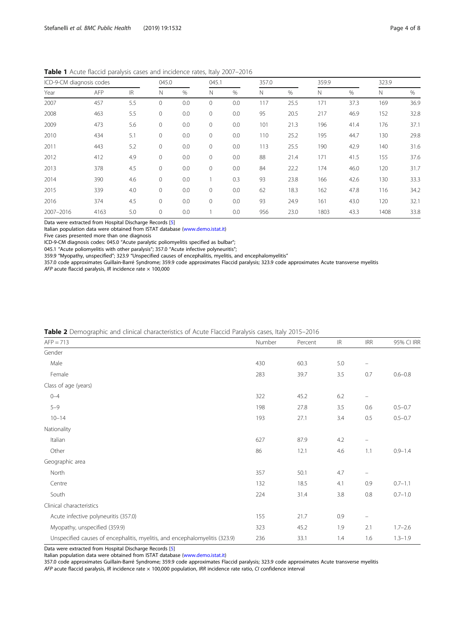| ICD-9-CM diagnosis codes |      |     | 045.0        |     | 045.1       |      | 357.0 |      | 359.9 |               | 323.9 |      |  |
|--------------------------|------|-----|--------------|-----|-------------|------|-------|------|-------|---------------|-------|------|--|
| Year                     | AFP  | IR. | N            | %   | N           | $\%$ | Ν     | $\%$ | N     | $\frac{0}{0}$ | N     | $\%$ |  |
| 2007                     | 457  | 5.5 | $\mathbf{0}$ | 0.0 | 0           | 0.0  | 117   | 25.5 | 171   | 37.3          | 169   | 36.9 |  |
| 2008                     | 463  | 5.5 | $\mathbf{0}$ | 0.0 | 0           | 0.0  | 95    | 20.5 | 217   | 46.9          | 152   | 32.8 |  |
| 2009                     | 473  | 5.6 | $\mathbf{0}$ | 0.0 | $\mathbf 0$ | 0.0  | 101   | 21.3 | 196   | 41.4          | 176   | 37.1 |  |
| 2010                     | 434  | 5.1 | $\mathbf{0}$ | 0.0 | 0           | 0.0  | 110   | 25.2 | 195   | 44.7          | 130   | 29.8 |  |
| 2011                     | 443  | 5.2 | $\mathbf{0}$ | 0.0 | 0           | 0.0  | 113   | 25.5 | 190   | 42.9          | 140   | 31.6 |  |
| 2012                     | 412  | 4.9 | $\mathbf{0}$ | 0.0 | 0           | 0.0  | 88    | 21.4 | 171   | 41.5          | 155   | 37.6 |  |
| 2013                     | 378  | 4.5 | $\mathbf{0}$ | 0.0 | 0           | 0.0  | 84    | 22.2 | 174   | 46.0          | 120   | 31.7 |  |
| 2014                     | 390  | 4.6 | $\mathbf{0}$ | 0.0 |             | 0.3  | 93    | 23.8 | 166   | 42.6          | 130   | 33.3 |  |
| 2015                     | 339  | 4.0 | $\mathbf{0}$ | 0.0 | 0           | 0.0  | 62    | 18.3 | 162   | 47.8          | 116   | 34.2 |  |
| 2016                     | 374  | 4.5 | $\mathbf{0}$ | 0.0 | 0           | 0.0  | 93    | 24.9 | 161   | 43.0          | 120   | 32.1 |  |
| 2007-2016                | 4163 | 5.0 | $\mathbf 0$  | 0.0 |             | 0.0  | 956   | 23.0 | 1803  | 43.3          | 1408  | 33.8 |  |

<span id="page-3-0"></span>Table 1 Acute flaccid paralysis cases and incidence rates, Italy 2007-2016

Data were extracted from Hospital Discharge Records [[5](#page-7-0)]

Italian population data were obtained from ISTAT database [\(www.demo.istat.it](http://www.demo.istat.it))

Five cases presented more than one diagnosis

ICD-9-CM diagnosis codes: 045.0 "Acute paralytic poliomyelitis specified as bulbar";

045.1 "Acute poliomyelitis with other paralysis"; 357.0 "Acute infective polyneuritis";

359.9 "Myopathy, unspecified"; 323.9 "Unspecified causes of encephalitis, myelitis, and encephalomyelitis"

357.0 code approximates Guillain-Barré Syndrome; 359.9 code approximates Flaccid paralysis; 323.9 code approximates Acute transverse myelitis

AFP acute flaccid paralysis, IR incidence rate  $\times$  100,000

| <b>Table 2</b> Defined and connect characteristics of Active Fraction ratalysis cases, italy 2013-2010 |        |         |     |                          |             |  |  |  |  |  |  |  |
|--------------------------------------------------------------------------------------------------------|--------|---------|-----|--------------------------|-------------|--|--|--|--|--|--|--|
| $AFP = 713$                                                                                            | Number | Percent | IR  | <b>IRR</b>               | 95% CI IRR  |  |  |  |  |  |  |  |
| Gender                                                                                                 |        |         |     |                          |             |  |  |  |  |  |  |  |
| Male                                                                                                   | 430    | 60.3    | 5.0 | -                        |             |  |  |  |  |  |  |  |
| Female                                                                                                 | 283    | 39.7    | 3.5 | 0.7                      | $0.6 - 0.8$ |  |  |  |  |  |  |  |
| Class of age (years)                                                                                   |        |         |     |                          |             |  |  |  |  |  |  |  |
| $0 - 4$                                                                                                | 322    | 45.2    | 6.2 | $\overline{\phantom{0}}$ |             |  |  |  |  |  |  |  |
| $5 - 9$                                                                                                | 198    | 27.8    | 3.5 | 0.6                      | $0.5 - 0.7$ |  |  |  |  |  |  |  |
| $10 - 14$                                                                                              | 193    | 27.1    | 3.4 | 0.5                      | $0.5 - 0.7$ |  |  |  |  |  |  |  |
| Nationality                                                                                            |        |         |     |                          |             |  |  |  |  |  |  |  |
| Italian                                                                                                | 627    | 87.9    | 4.2 | -                        |             |  |  |  |  |  |  |  |
| Other                                                                                                  | 86     | 12.1    | 4.6 | 1.1                      | $0.9 - 1.4$ |  |  |  |  |  |  |  |
| Geographic area                                                                                        |        |         |     |                          |             |  |  |  |  |  |  |  |
| North                                                                                                  | 357    | 50.1    | 4.7 | -                        |             |  |  |  |  |  |  |  |
| Centre                                                                                                 | 132    | 18.5    | 4.1 | 0.9                      | $0.7 - 1.1$ |  |  |  |  |  |  |  |
| South                                                                                                  | 224    | 31.4    | 3.8 | 0.8                      | $0.7 - 1.0$ |  |  |  |  |  |  |  |
| Clinical characteristics                                                                               |        |         |     |                          |             |  |  |  |  |  |  |  |
| Acute infective polyneuritis (357.0)                                                                   | 155    | 21.7    | 0.9 | -                        |             |  |  |  |  |  |  |  |
| Myopathy, unspecified (359.9)                                                                          | 323    | 45.2    | 1.9 | 2.1                      | $1.7 - 2.6$ |  |  |  |  |  |  |  |
| Unspecified causes of encephalitis, myelitis, and encephalomyelitis (323.9)                            | 236    | 33.1    | 1.4 | 1.6                      | $1.3 - 1.9$ |  |  |  |  |  |  |  |

Table 2 Demographic and clinical characteristics of Acute Flaccid Paralysis cases, Italy 2015–2016

Data were extracted from Hospital Discharge Records [[5](#page-7-0)]

Italian population data were obtained from ISTAT database [\(www.demo.istat.it](http://www.demo.istat.it))

357.0 code approximates Guillain-Barré Syndrome; 359.9 code approximates Flaccid paralysis; 323.9 code approximates Acute transverse myelitis

AFP acute flaccid paralysis, IR incidence rate  $\times$  100,000 population, IRR incidence rate ratio, CI confidence interval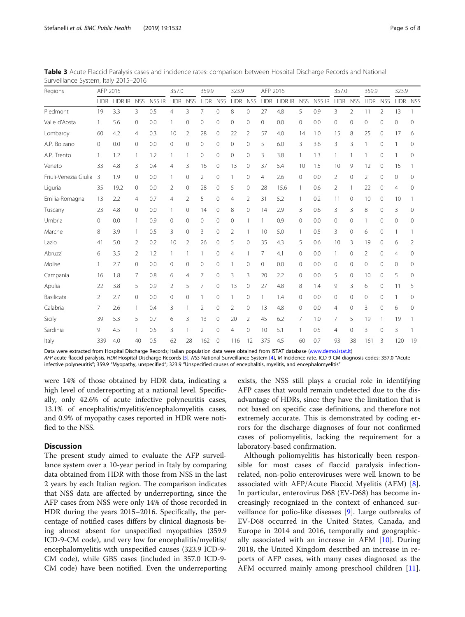| Regions               | AFP 2015       |        |                |        | 357.0      |                | 359.9          |              | 323.9          |              | AFP 2016   |        |            |        | 357.0      |                | 359.9        |            | 323.9          |    |
|-----------------------|----------------|--------|----------------|--------|------------|----------------|----------------|--------------|----------------|--------------|------------|--------|------------|--------|------------|----------------|--------------|------------|----------------|----|
|                       | <b>HDR</b>     | HDR IR | <b>NSS</b>     | NSS IR | <b>HDR</b> | <b>NSS</b>     | <b>HDR</b>     | <b>NSS</b>   | <b>HDR</b>     | <b>NSS</b>   | <b>HDR</b> | HDR IR | <b>NSS</b> | NSS IR | <b>HDR</b> | <b>NSS</b>     | <b>HDR</b>   | <b>NSS</b> | HDR NSS        |    |
| Piedmont              | 19             | 3.3    | 3              | 0.5    | 4          | 3              | 7              | $\mathbf{0}$ | 8              | $\mathbf{0}$ | 27         | 4.8    | 5          | 0.9    | 3          | $\overline{2}$ | 11           | 2          | 13             |    |
| Valle d'Aosta         |                | 5.6    | 0              | 0.0    |            | 0              | 0              | $\mathbf{0}$ | 0              | $\mathbf{0}$ | 0          | 0.0    | 0          | 0.0    | 0          | 0              | $\Omega$     | $\Omega$   | 0              | 0  |
| Lombardy              | 60             | 4.2    | 4              | 0.3    | 10         | 2              | 28             | 0            | 22             | 2            | 57         | 4.0    | 14         | 1.0    | 15         | 8              | 25           | 0          | 17             | 6  |
| A.P. Bolzano          | 0              | 0.0    | $\mathbf{0}$   | 0.0    | 0          | $\mathbf{0}$   | $\circ$        | $\mathbf{0}$ | $\circ$        | $\mathbf{0}$ | 5          | 6.0    | 3          | 3.6    | 3          | 3              |              | 0          |                | 0  |
| A.P. Trento           |                | 1.2    | 1              | 1.2    |            |                | 0              | $\mathbf{0}$ | 0              | 0            | 3          | 3.8    |            | 1.3    |            |                |              | 0          |                | 0  |
| Veneto                | 33             | 4.8    | 3              | 0.4    | 4          | 3              | 16             | $\mathbf{0}$ | 13             | $\mathbf{0}$ | 37         | 5.4    | 10         | 1.5    | 10         | 9              | 12           | 0          | 15             |    |
| Friuli-Venezia Giulia | 3              | 1.9    | 0              | 0.0    |            | $\mathbf{0}$   | 2              | $\mathbf{0}$ |                | 0            | 4          | 2.6    | 0          | 0.0    | 2          | 0              | 2            | $\Omega$   | $\Omega$       | 0  |
| Liguria               | 35             | 19.2   | 0              | 0.0    | 2          | 0              | 28             | $\mathbf{0}$ | 5              | $\mathbf{0}$ | 28         | 15.6   |            | 0.6    | 2          |                | 22           | $\Omega$   | $\overline{4}$ | 0  |
| Emilia-Romagna        | 13             | 2.2    | $\overline{4}$ | 0.7    | 4          | 2              | 5              | $\mathbf{0}$ | $\overline{4}$ | 2            | 31         | 5.2    |            | 0.2    | 11         | 0              | 10           | $\Omega$   | 10             |    |
| Tuscany               | 23             | 4.8    | 0              | 0.0    |            | $\mathbf{0}$   | 14             | $\mathbf{0}$ | 8              | $\mathbf{0}$ | 14         | 2.9    | 3          | 0.6    | 3          | 3              | 8            | 0          | 3              | 0  |
| Umbria                | 0              | 0.0    | $\mathbf{1}$   | 0.9    | $\Omega$   | $\mathbf{0}$   | 0              | $\mathbf{0}$ | $\mathbf{0}$   | 1            |            | 0.9    | 0          | 0.0    | 0          | 0              |              | 0          | 0              | 0  |
| Marche                | 8              | 3.9    | $\mathbf{1}$   | 0.5    | 3          | $\mathbf 0$    | 3              | $\mathbf{0}$ | $\overline{2}$ |              | 10         | 5.0    |            | 0.5    | 3          | 0              | 6            | 0          |                |    |
| Lazio                 | 41             | 5.0    | 2              | 0.2    | 10         | 2              | 26             | $\mathbf{0}$ | 5              | $\mathbf{0}$ | 35         | 4.3    | 5          | 0.6    | 10         | 3              | 19           | $\Omega$   | 6              | 2  |
| Abruzzi               | 6              | 3.5    | 2              | 1.2    |            |                |                | $\mathbf 0$  | 4              |              | 7          | 4.1    | 0          | 0.0    | 1          | 0              | 2            | $\Omega$   | 4              | 0  |
| Molise                |                | 2.7    | 0              | 0.0    | 0          | 0              | 0              | $\circ$      |                | 0            | 0          | 0.0    | 0          | 0.0    | $\Omega$   | 0              | $\circ$      | $\Omega$   | $\Omega$       | 0  |
| Campania              | 16             | 1.8    | 7              | 0.8    | 6          | $\overline{4}$ | 7              | $\circ$      | 3              | 3            | 20         | 2.2    | 0          | 0.0    | 5          | 0              | 10           | $\Omega$   | 5              | 0  |
| Apulia                | 22             | 3.8    | 5              | 0.9    | 2          | 5              | 7              | $\circ$      | 13             | $\mathbf{0}$ | 27         | 4.8    | 8          | 1.4    | 9          | 3              | 6            | 0          | 11             | 5  |
| Basilicata            | $\overline{2}$ | 2.7    | 0              | 0.0    | 0          | $\mathbf{0}$   |                | $\circ$      |                | $\mathbf{0}$ |            | 1.4    | 0          | 0.0    | 0          | 0              | $\mathbf{0}$ | $\Omega$   |                | 0  |
| Calabria              | 7              | 2.6    | $\mathbf{1}$   | 0.4    | 3          |                | $\overline{2}$ | $\mathbf{0}$ | $\overline{2}$ | $\mathbf{0}$ | 13         | 4.8    | 0          | 0.0    | 4          | 0              | 3            | $\Omega$   | 6              | 0  |
| Sicily                | 39             | 5.3    | 5              | 0.7    | 6          | 3              | 13             | $\circ$      | 20             | 2            | 45         | 6.2    | 7          | 1.0    | 7          | 5              | 19           |            | 19             |    |
| Sardinia              | 9              | 4.5    | $\mathbf{1}$   | 0.5    | 3          |                | 2              | $\mathbf{0}$ | 4              | $\mathbf{0}$ | 10         | 5.1    |            | 0.5    | 4          | 0              | 3            | $\Omega$   | 3              |    |
| Italy                 | 339            | 4.0    | 40             | 0.5    | 62         | 28             | 162            | $\mathbf{0}$ | 116            | 12           | 375        | 4.5    | 60         | 0.7    | 93         | 38             | 161          | 3          | 120            | 19 |

<span id="page-4-0"></span>Table 3 Acute Flaccid Paralysis cases and incidence rates: comparison between Hospital Discharge Records and National Surveillance System, Italy 2015–2016

Data were extracted from Hospital Discharge Records; Italian population data were obtained from ISTAT database ([www.demo.istat.it\)](http://www.demo.istat.it) AFP acute flaccid paralysis, HDR Hospital Discharge Records [[5\]](#page-7-0), NSS National Surveillance System [[4](#page-7-0)], IR Incidence rate. ICD-9-CM diagnosis codes: 357.0 "Acute

infective polyneuritis"; 359.9 "Myopathy, unspecified"; 323.9 "Unspecified causes of encephalitis, myelitis, and encephalomyelitis"

were 14% of those obtained by HDR data, indicating a high level of underreporting at a national level. Specifically, only 42.6% of acute infective polyneuritis cases, 13.1% of encephalitis/myelitis/encephalomyelitis cases, and 0.9% of myopathy cases reported in HDR were notified to the NSS.

# **Discussion**

The present study aimed to evaluate the AFP surveillance system over a 10-year period in Italy by comparing data obtained from HDR with those from NSS in the last 2 years by each Italian region. The comparison indicates that NSS data are affected by underreporting, since the AFP cases from NSS were only 14% of those recorded in HDR during the years 2015–2016. Specifically, the percentage of notified cases differs by clinical diagnosis being almost absent for unspecified myopathies (359.9 ICD-9-CM code), and very low for encephalitis/myelitis/ encephalomyelitis with unspecified causes (323.9 ICD-9- CM code), while GBS cases (included in 357.0 ICD-9- CM code) have been notified. Even the underreporting

exists, the NSS still plays a crucial role in identifying AFP cases that would remain undetected due to the disadvantage of HDRs, since they have the limitation that is not based on specific case definitions, and therefore not extremely accurate. This is demonstrated by coding errors for the discharge diagnoses of four not confirmed cases of poliomyelitis, lacking the requirement for a laboratory-based confirmation.

Although poliomyelitis has historically been responsible for most cases of flaccid paralysis infectionrelated, non-polio enteroviruses were well known to be associated with AFP/Acute Flaccid Myelitis (AFM) [\[8](#page-7-0)]. In particular, enterovirus D68 (EV-D68) has become increasingly recognized in the context of enhanced surveillance for polio-like diseases [\[9](#page-7-0)]. Large outbreaks of EV-D68 occurred in the United States, Canada, and Europe in 2014 and 2016, temporally and geographically associated with an increase in AFM [[10](#page-7-0)]. During 2018, the United Kingdom described an increase in reports of AFP cases, with many cases diagnosed as the AFM occurred mainly among preschool children [\[11](#page-7-0)].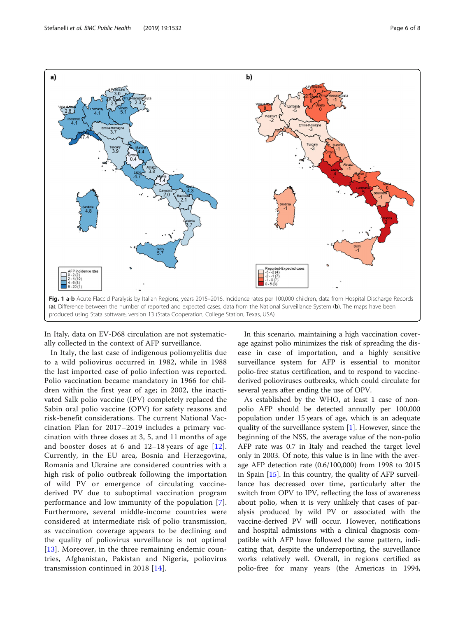

<span id="page-5-0"></span>

In Italy, data on EV-D68 circulation are not systematically collected in the context of AFP surveillance.

In Italy, the last case of indigenous poliomyelitis due to a wild poliovirus occurred in 1982, while in 1988 the last imported case of polio infection was reported. Polio vaccination became mandatory in 1966 for children within the first year of age; in 2002, the inactivated Salk polio vaccine (IPV) completely replaced the Sabin oral polio vaccine (OPV) for safety reasons and risk-benefit considerations. The current National Vaccination Plan for 2017–2019 includes a primary vaccination with three doses at 3, 5, and 11 months of age and booster doses at 6 and 12–18 years of age [[12](#page-7-0)]. Currently, in the EU area, Bosnia and Herzegovina, Romania and Ukraine are considered countries with a high risk of polio outbreak following the importation of wild PV or emergence of circulating vaccinederived PV due to suboptimal vaccination program performance and low immunity of the population [[7](#page-7-0)]. Furthermore, several middle-income countries were considered at intermediate risk of polio transmission, as vaccination coverage appears to be declining and the quality of poliovirus surveillance is not optimal [[13](#page-7-0)]. Moreover, in the three remaining endemic countries, Afghanistan, Pakistan and Nigeria, poliovirus transmission continued in 2018 [\[14\]](#page-7-0).

In this scenario, maintaining a high vaccination coverage against polio minimizes the risk of spreading the disease in case of importation, and a highly sensitive surveillance system for AFP is essential to monitor polio-free status certification, and to respond to vaccinederived polioviruses outbreaks, which could circulate for several years after ending the use of OPV.

As established by the WHO, at least 1 case of nonpolio AFP should be detected annually per 100,000 population under 15 years of age, which is an adequate quality of the surveillance system [\[1](#page-7-0)]. However, since the beginning of the NSS, the average value of the non-polio AFP rate was 0.7 in Italy and reached the target level only in 2003. Of note, this value is in line with the average AFP detection rate (0.6/100,000) from 1998 to 2015 in Spain [[15\]](#page-7-0). In this country, the quality of AFP surveillance has decreased over time, particularly after the switch from OPV to IPV, reflecting the loss of awareness about polio, when it is very unlikely that cases of paralysis produced by wild PV or associated with the vaccine-derived PV will occur. However, notifications and hospital admissions with a clinical diagnosis compatible with AFP have followed the same pattern, indicating that, despite the underreporting, the surveillance works relatively well. Overall, in regions certified as polio-free for many years (the Americas in 1994,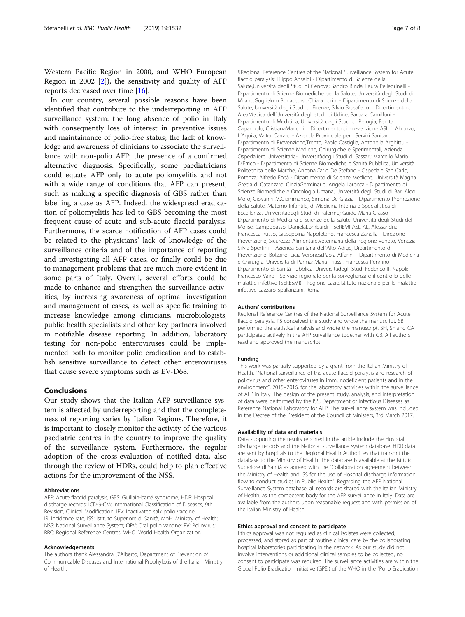Western Pacific Region in 2000, and WHO European Region in 2002  $[2]$ , the sensitivity and quality of AFP reports decreased over time [[16](#page-7-0)].

In our country, several possible reasons have been identified that contribute to the underreporting in AFP surveillance system: the long absence of polio in Italy with consequently loss of interest in preventive issues and maintainance of polio-free status; the lack of knowledge and awareness of clinicians to associate the surveillance with non-polio AFP; the presence of a confirmed alternative diagnosis. Specifically, some paediatricians could equate AFP only to acute poliomyelitis and not with a wide range of conditions that AFP can present, such as making a specific diagnosis of GBS rather than labelling a case as AFP. Indeed, the widespread eradication of poliomyelitis has led to GBS becoming the most frequent cause of acute and sub-acute flaccid paralysis. Furthermore, the scarce notification of AFP cases could be related to the physicians' lack of knowledge of the surveillance criteria and of the importance of reporting and investigating all AFP cases, or finally could be due to management problems that are much more evident in some parts of Italy. Overall, several efforts could be made to enhance and strengthen the surveillance activities, by increasing awareness of optimal investigation and management of cases, as well as specific training to increase knowledge among clinicians, microbiologists, public health specialists and other key partners involved in notifiable disease reporting. In addition, laboratory testing for non-polio enteroviruses could be implemented both to monitor polio eradication and to establish sensitive surveillance to detect other enteroviruses that cause severe symptoms such as EV-D68.

## Conclusions

Our study shows that the Italian AFP surveillance system is affected by underreporting and that the completeness of reporting varies by Italian Regions. Therefore, it is important to closely monitor the activity of the various paediatric centres in the country to improve the quality of the surveillance system. Furthermore, the regular adoption of the cross-evaluation of notified data, also through the review of HDRs, could help to plan effective actions for the improvement of the NSS.

#### Abbreviations

AFP: Acute flaccid paralysis; GBS: Guillain-barré syndrome; HDR: Hospital discharge records; ICD-9-CM: International Classification of Diseases, 9th Revision, Clinical Modification; IPV: Inactivated salk polio vaccine; IR: Incidence rate; ISS: Istituto Superiore di Sanità; MoH: Ministry of Health; NSS: National Surveillance System; OPV: Oral polio vaccine; PV: Poliovirus; RRC: Regional Reference Centres; WHO: World Health Organization

#### Acknowledgements

The authors thank Alessandra D'Alberto, Department of Prevention of Communicable Diseases and International Prophylaxis of the Italian Ministry of Health.

§Regional Reference Centres of the National Surveillance System for Acute flaccid paralysis: Filippo Ansaldi - Dipartimento di Scienze della Salute,Università degli Studi di Genova; Sandro Binda, Laura Pellegrinelli - Dipartimento di Scienze Biomediche per la Salute, Università degli Studi di Milano;Guglielmo Bonaccorsi, Chiara Lorini - Dipartimento di Scienze della Salute, Università degli Studi di Firenze; Silvio Brusaferro – Dipartimento di AreaMedica dell'Università degli studi di Udine; Barbara Camilloni - Dipartimento di Medicina, Università degli Studi di Perugia; Benita Capannolo, CristianaMancini – Dipartimento di prevenzione ASL 1 Abruzzo, L'Aquila; Valter Carraro - Azienda Provinciale per i Servizi Sanitari, Dipartimento di Prevenzione,Trento; Paolo Castiglia, Antonella Arghittu - Dipartimento di Scienze Mediche, Chirurgiche e Sperimentali, Azienda Ospedaliero Universitaria- Universitàdegli Studi di Sassari; Marcello Mario D'Errico - Dipartimento di Scienze Biomediche e Sanità Pubblica, Università Politecnica delle Marche, Ancona;Carlo De Stefano - Ospedale San Carlo, Potenza; Alfredo Focà - Dipartimento di Scienze Mediche, Università Magna Grecia di Catanzaro; CinziaGerminario, Angela Larocca - Dipartimento di Scienze Biomediche e Oncologia Umana, Università degli Studi di Bari Aldo Moro; Giovanni M.Giammanco, Simona De Grazia - Dipartimento Promozione della Salute, Materno-Infantile, di Medicina Interna e Specialistica di Eccellenza, Universitàdegli Studi di Palermo; Guido Maria Grasso - Dipartimento di Medicina e Scienze della Salute, Università degli Studi del Molise, Campobasso; Danielal ombardi - SeREMI ASL AL, Alessandria; Francesca Russo, Giuseppina Napoletano, Francesca Zanella - Direzione Prevenzione, Sicurezza Alimentare,Veterinaria della Regione Veneto, Venezia; Silvia Spertini – Azienda Sanitaria dell'Alto Adige, Dipartimento di Prevenzione, Bolzano; Licia Veronesi,Paola Affanni - Dipartimento di Medicina e Chirurgia, Università di Parma; Maria Triassi, Francesca Pennino - Dipartimento di Sanità Pubblica, Universitàdegli Studi Federico II, Napoli; Francesco Vairo - Servizio regionale per la sorveglianza e il controllo delle malattie infettive (SERESMI) - Regione Lazio,Istituto nazionale per le malattie infettive Lazzaro Spallanzani, Roma

#### Authors' contributions

Regional Reference Centres of the National Surveillance System for Acute flaccid paralysis. PS conceived the study and wrote the manuscript. SB performed the statistical analysis and wrote the manuscript. SFi, SF and CA participated actively in the AFP surveillance together with GB. All authors read and approved the manuscript.

#### Funding

This work was partially supported by a grant from the Italian Ministry of Health, "National surveillance of the acute flaccid paralysis and research of poliovirus and other enteroviruses in immunodeficient patients and in the environment", 2015–2016, for the laboratory activities within the surveillance of AFP in Italy. The design of the present study, analysis, and interpretation of data were performed by the ISS, Department of Infectious Diseases as Reference National Laboratory for AFP. The surveillance system was included in the Decree of the President of the Council of Ministers, 3rd March 2017.

### Availability of data and materials

Data supporting the results reported in the article include the Hospital discharge records and the National surveillance system database. HDR data are sent by hospitals to the Regional Health Authorities that transmit the database to the Ministry of Health. The database is available at the Istituto Superiore di Sanità as agreed with the "Collaboration agreement between the Ministry of Health and ISS for the use of Hospital discharge information flow to conduct studies in Public Health". Regarding the AFP National Surveillance System database, all records are shared with the Italian Ministry of Health, as the competent body for the AFP surveillance in Italy. Data are available from the authors upon reasonable request and with permission of the Italian Ministry of Health.

#### Ethics approval and consent to participate

Ethics approval was not required as clinical isolates were collected, processed, and stored as part of routine clinical care by the collaborating hospital laboratories participating in the network. As our study did not involve interventions or additional clinical samples to be collected, no consent to participate was required. The surveillance activities are within the Global Polio Eradication Initiative (GPEI) of the WHO in the "Polio Eradication